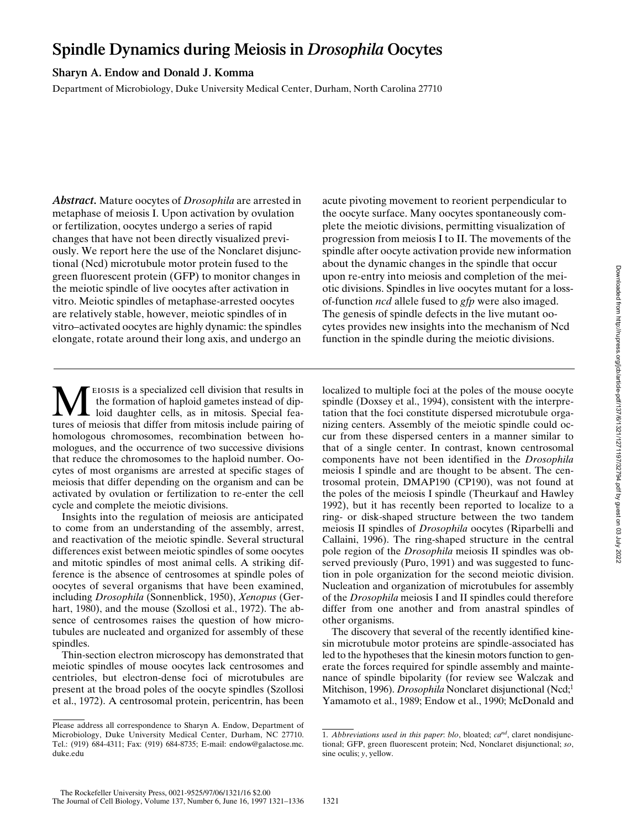# **Spindle Dynamics during Meiosis in** *Drosophila* **Oocytes**

## **Sharyn A. Endow and Donald J. Komma**

Department of Microbiology, Duke University Medical Center, Durham, North Carolina 27710

*Abstract.* Mature oocytes of *Drosophila* are arrested in metaphase of meiosis I. Upon activation by ovulation or fertilization, oocytes undergo a series of rapid changes that have not been directly visualized previously. We report here the use of the Nonclaret disjunctional (Ncd) microtubule motor protein fused to the green fluorescent protein (GFP) to monitor changes in the meiotic spindle of live oocytes after activation in vitro. Meiotic spindles of metaphase-arrested oocytes are relatively stable, however, meiotic spindles of in vitro–activated oocytes are highly dynamic: the spindles elongate, rotate around their long axis, and undergo an

acute pivoting movement to reorient perpendicular to the oocyte surface. Many oocytes spontaneously complete the meiotic divisions, permitting visualization of progression from meiosis I to II. The movements of the spindle after oocyte activation provide new information about the dynamic changes in the spindle that occur upon re-entry into meiosis and completion of the meiotic divisions. Spindles in live oocytes mutant for a lossof-function *ncd* allele fused to *gfp* were also imaged. The genesis of spindle defects in the live mutant oocytes provides new insights into the mechanism of Ncd function in the spindle during the meiotic divisions.

**MELAN** ELOSIS is a specialized cell division that results in the formation of haploid gametes instead of dip-<br>tures of meiosis that differ from mitosis include pairing of the formation of haploid gametes instead of diploid daughter cells, as in mitosis. Special features of meiosis that differ from mitosis include pairing of homologous chromosomes, recombination between homologues, and the occurrence of two successive divisions that reduce the chromosomes to the haploid number. Oocytes of most organisms are arrested at specific stages of meiosis that differ depending on the organism and can be activated by ovulation or fertilization to re-enter the cell cycle and complete the meiotic divisions.

Insights into the regulation of meiosis are anticipated to come from an understanding of the assembly, arrest, and reactivation of the meiotic spindle. Several structural differences exist between meiotic spindles of some oocytes and mitotic spindles of most animal cells. A striking difference is the absence of centrosomes at spindle poles of oocytes of several organisms that have been examined, including *Drosophila* (Sonnenblick, 1950), *Xenopus* (Gerhart, 1980), and the mouse (Szollosi et al., 1972). The absence of centrosomes raises the question of how microtubules are nucleated and organized for assembly of these spindles.

Thin-section electron microscopy has demonstrated that meiotic spindles of mouse oocytes lack centrosomes and centrioles, but electron-dense foci of microtubules are present at the broad poles of the oocyte spindles (Szollosi et al., 1972). A centrosomal protein, pericentrin, has been

localized to multiple foci at the poles of the mouse oocyte spindle (Doxsey et al., 1994), consistent with the interpretation that the foci constitute dispersed microtubule organizing centers. Assembly of the meiotic spindle could occur from these dispersed centers in a manner similar to that of a single center. In contrast, known centrosomal components have not been identified in the *Drosophila* meiosis I spindle and are thought to be absent. The centrosomal protein, DMAP190 (CP190), was not found at the poles of the meiosis I spindle (Theurkauf and Hawley 1992), but it has recently been reported to localize to a ring- or disk-shaped structure between the two tandem meiosis II spindles of *Drosophila* oocytes (Riparbelli and Callaini, 1996). The ring-shaped structure in the central pole region of the *Drosophila* meiosis II spindles was observed previously (Puro, 1991) and was suggested to function in pole organization for the second meiotic division. Nucleation and organization of microtubules for assembly of the *Drosophila* meiosis I and II spindles could therefore differ from one another and from anastral spindles of other organisms.

The discovery that several of the recently identified kinesin microtubule motor proteins are spindle-associated has led to the hypotheses that the kinesin motors function to generate the forces required for spindle assembly and maintenance of spindle bipolarity (for review see Walczak and Mitchison, 1996). *Drosophila* Nonclaret disjunctional (Ncd;<sup>1</sup> Yamamoto et al., 1989; Endow et al., 1990; McDonald and

Please address all correspondence to Sharyn A. Endow, Department of Microbiology, Duke University Medical Center, Durham, NC 27710. Tel.: (919) 684-4311; Fax: (919) 684-8735; E-mail: endow@galactose.mc. duke.edu

<sup>1.</sup> *Abbreviations used in this paper*: *blo*, bloated; *cand*, claret nondisjunctional; GFP, green fluorescent protein; Ncd, Nonclaret disjunctional; *so*, sine oculis; *y*, yellow.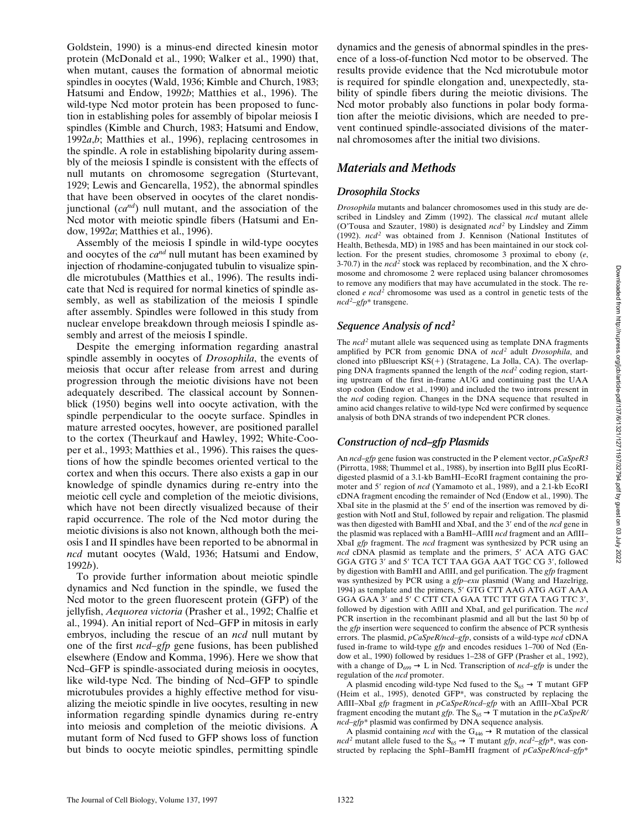Goldstein, 1990) is a minus-end directed kinesin motor protein (McDonald et al., 1990; Walker et al., 1990) that, when mutant, causes the formation of abnormal meiotic spindles in oocytes (Wald, 1936; Kimble and Church, 1983; Hatsumi and Endow, 1992*b*; Matthies et al., 1996). The wild-type Ncd motor protein has been proposed to function in establishing poles for assembly of bipolar meiosis I spindles (Kimble and Church, 1983; Hatsumi and Endow, 1992*a*,*b*; Matthies et al., 1996), replacing centrosomes in the spindle. A role in establishing bipolarity during assembly of the meiosis I spindle is consistent with the effects of null mutants on chromosome segregation (Sturtevant, 1929; Lewis and Gencarella, 1952), the abnormal spindles that have been observed in oocytes of the claret nondisjunctional (*cand*) null mutant, and the association of the Ncd motor with meiotic spindle fibers (Hatsumi and Endow, 1992*a*; Matthies et al., 1996).

Assembly of the meiosis I spindle in wild-type oocytes and oocytes of the *cand* null mutant has been examined by injection of rhodamine-conjugated tubulin to visualize spindle microtubules (Matthies et al., 1996). The results indicate that Ncd is required for normal kinetics of spindle assembly, as well as stabilization of the meiosis I spindle after assembly. Spindles were followed in this study from nuclear envelope breakdown through meiosis I spindle assembly and arrest of the meiosis I spindle.

Despite the emerging information regarding anastral spindle assembly in oocytes of *Drosophila*, the events of meiosis that occur after release from arrest and during progression through the meiotic divisions have not been adequately described. The classical account by Sonnenblick (1950) begins well into oocyte activation, with the spindle perpendicular to the oocyte surface. Spindles in mature arrested oocytes, however, are positioned parallel to the cortex (Theurkauf and Hawley, 1992; White-Cooper et al., 1993; Matthies et al., 1996). This raises the questions of how the spindle becomes oriented vertical to the cortex and when this occurs. There also exists a gap in our knowledge of spindle dynamics during re-entry into the meiotic cell cycle and completion of the meiotic divisions, which have not been directly visualized because of their rapid occurrence. The role of the Ncd motor during the meiotic divisions is also not known, although both the meiosis I and II spindles have been reported to be abnormal in *ncd* mutant oocytes (Wald, 1936; Hatsumi and Endow, 1992*b*).

To provide further information about meiotic spindle dynamics and Ncd function in the spindle, we fused the Ncd motor to the green fluorescent protein (GFP) of the jellyfish, *Aequorea victoria* (Prasher et al., 1992; Chalfie et al., 1994). An initial report of Ncd–GFP in mitosis in early embryos, including the rescue of an *ncd* null mutant by one of the first *ncd–gfp* gene fusions, has been published elsewhere (Endow and Komma, 1996). Here we show that Ncd–GFP is spindle-associated during meiosis in oocytes, like wild-type Ncd. The binding of Ncd–GFP to spindle microtubules provides a highly effective method for visualizing the meiotic spindle in live oocytes, resulting in new information regarding spindle dynamics during re-entry into meiosis and completion of the meiotic divisions. A mutant form of Ncd fused to GFP shows loss of function but binds to oocyte meiotic spindles, permitting spindle

dynamics and the genesis of abnormal spindles in the presence of a loss-of-function Ncd motor to be observed. The results provide evidence that the Ncd microtubule motor is required for spindle elongation and, unexpectedly, stability of spindle fibers during the meiotic divisions. The Ncd motor probably also functions in polar body formation after the meiotic divisions, which are needed to prevent continued spindle-associated divisions of the maternal chromosomes after the initial two divisions.

## *Materials and Methods*

## *Drosophila Stocks*

*Drosophila* mutants and balancer chromosomes used in this study are described in Lindsley and Zimm (1992). The classical *ncd* mutant allele (O'Tousa and Szauter, 1980) is designated *ncd2* by Lindsley and Zimm (1992). *ncd2* was obtained from J. Kennison (National Institutes of Health, Bethesda, MD) in 1985 and has been maintained in our stock collection. For the present studies, chromosome 3 proximal to ebony (*e*, 3-70.7) in the  $ncd^2$  stock was replaced by recombination, and the X chromosome and chromosome 2 were replaced using balancer chromosomes to remove any modifiers that may have accumulated in the stock. The recloned *e ncd*<sup>2</sup> chromosome was used as a control in genetic tests of the *ncd2* –*gfp*\* transgene.

## *Sequence Analysis of ncd2*

The *ncd*<sup>2</sup> mutant allele was sequenced using as template DNA fragments amplified by PCR from genomic DNA of *ncd2* adult *Drosophila*, and cloned into pBluescript  $KS(+)$  (Stratagene, La Jolla, CA). The overlapping DNA fragments spanned the length of the *ncd*<sup>2</sup> coding region, starting upstream of the first in-frame AUG and continuing past the UAA stop codon (Endow et al., 1990) and included the two introns present in the *ncd* coding region. Changes in the DNA sequence that resulted in amino acid changes relative to wild-type Ncd were confirmed by sequence analysis of both DNA strands of two independent PCR clones.

## *Construction of ncd–gfp Plasmids*

An *ncd–gfp* gene fusion was constructed in the P element vector, *pCaSpeR3* (Pirrotta, 1988; Thummel et al., 1988), by insertion into BglII plus EcoRIdigested plasmid of a 3.1-kb BamHI–EcoRI fragment containing the promoter and 5' region of *ncd* (Yamamoto et al., 1989), and a 2.1-kb EcoRI cDNA fragment encoding the remainder of Ncd (Endow et al., 1990). The XbaI site in the plasmid at the 5' end of the insertion was removed by digestion with NotI and StuI, followed by repair and religation. The plasmid was then digested with BamHI and XbaI, and the 3' end of the *ncd* gene in the plasmid was replaced with a BamHI–AflII *ncd* fragment and an AflII– XbaI *gfp* fragment. The *ncd* fragment was synthesized by PCR using an *ncd* cDNA plasmid as template and the primers, 5' ACA ATG GAC GGA GTG 3' and 5' TCA TCT TAA GGA AAT TGC CG 3', followed by digestion with BamHI and AflII, and gel purification. The *gfp* fragment was synthesized by PCR using a *gfp–exu* plasmid (Wang and Hazelrigg, 1994) as template and the primers, 5' GTG CTT AAG ATG AGT AAA GGA GAA 3' and 5' C CTT CTA GAA TTC TTT GTA TAG TTC 3', followed by digestion with AflII and XbaI, and gel purification. The *ncd* PCR insertion in the recombinant plasmid and all but the last 50 bp of the *gfp* insertion were sequenced to confirm the absence of PCR synthesis errors. The plasmid, *pCaSpeR/ncd–gfp*, consists of a wild-type *ncd* cDNA fused in-frame to wild-type *gfp* and encodes residues 1–700 of Ncd (Endow et al., 1990) followed by residues 1–238 of GFP (Prasher et al., 1992), with a change of  $D_{699} \rightarrow L$  in Ncd. Transcription of *ncd–gfp* is under the regulation of the *ncd* promoter.

A plasmid encoding wild-type Ncd fused to the  $S_{65} \rightarrow T$  mutant GFP (Heim et al., 1995), denoted GFP\*, was constructed by replacing the AflII–XbaI *gfp* fragment in *pCaSpeR/ncd–gfp* with an AflII–XbaI PCR fragment encoding the mutant *gfp*. The  $S_{65} \rightarrow T$  mutation in the *pCaSpeR*/ *ncd–gfp*\* plasmid was confirmed by DNA sequence analysis.

A plasmid containing *ncd* with the  $G_{446} \rightarrow R$  mutation of the classical *ncd*<sup>2</sup> mutant allele fused to the  $S_{65} \rightarrow T$  mutant *gfp*, *ncd*<sup>2</sup>–*gfp*<sup>\*</sup>, was constructed by replacing the SphI–BamHI fragment of *pCaSpeR/ncd–gfp*\*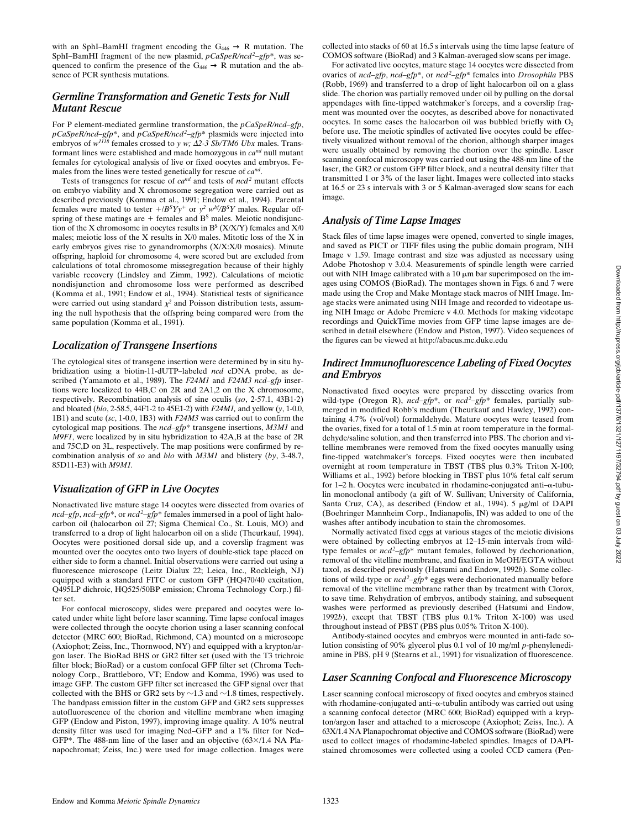with an SphI–BamHI fragment encoding the  $G_{446} \rightarrow R$  mutation. The SphI–BamHI fragment of the new plasmid,  $pCaSpeR/ncd^2-gfp^*$ , was sequenced to confirm the presence of the  $G_{446} \rightarrow R$  mutation and the absence of PCR synthesis mutations.

#### *Germline Transformation and Genetic Tests for Null Mutant Rescue*

For P element-mediated germline transformation, the *pCaSpeR/ncd–gfp*, *pCaSpeR/ncd–gfp*\*, and *pCaSpeR/ncd2* –*gfp*\* plasmids were injected into embryos of  $w^{1118}$  females crossed to *y w;*  $\Delta$ 2-3 Sb/TM6 Ubx males. Transformant lines were established and made homozygous in *cand* null mutant females for cytological analysis of live or fixed oocytes and embryos. Females from the lines were tested genetically for rescue of *cand*.

Tests of transgenes for rescue of *cand* and tests of *ncd2* mutant effects on embryo viability and X chromosome segregation were carried out as described previously (Komma et al., 1991; Endow et al., 1994). Parental females were mated to tester  $+/B^SYy^+$  or  $y^2 w^{bf}/B^SY$  males. Regular offspring of these matings are  $+$  females and  $B<sup>S</sup>$  males. Meiotic nondisjunction of the X chromosome in oocytes results in  $B^S$  (X/X/Y) females and X/0 males; meiotic loss of the X results in X/0 males. Mitotic loss of the X in early embryos gives rise to gynandromorphs (X/X:X/0 mosaics). Minute offspring, haploid for chromosome 4, were scored but are excluded from calculations of total chromosome missegregation because of their highly variable recovery (Lindsley and Zimm, 1992). Calculations of meiotic nondisjunction and chromosome loss were performed as described (Komma et al., 1991; Endow et al., 1994). Statistical tests of significance were carried out using standard  $\chi^2$  and Poisson distribution tests, assuming the null hypothesis that the offspring being compared were from the same population (Komma et al., 1991).

#### *Localization of Transgene Insertions*

The cytological sites of transgene insertion were determined by in situ hybridization using a biotin-11-dUTP–labeled *ncd* cDNA probe, as described (Yamamoto et al., 1989). The *F24M1* and *F24M3 ncd–gfp* insertions were localized to 44B,C on 2R and 2A1,2 on the X chromosome, respectively. Recombination analysis of sine oculis (*so*, 2-57.1, 43B1-2) and bloated (*blo*, 2-58.5, 44F1-2 to 45E1-2) with *F24M1,* and yellow (*y*, 1-0.0, 1B1) and scute (*sc*, 1-0.0, 1B3) with *F24M3* was carried out to confirm the cytological map positions. The *ncd–gfp*\* transgene insertions, *M3M1* and *M9F1*, were localized by in situ hybridization to 42A,B at the base of 2R and 75C,D on 3L, respectively. The map positions were confirmed by recombination analysis of *so* and *blo* with *M3M1* and blistery (*by*, 3-48.7, 85D11-E3) with *M9M1.*

#### *Visualization of GFP in Live Oocytes*

Nonactivated live mature stage 14 oocytes were dissected from ovaries of ncd–gfp, ncd–gfp<sup>\*</sup>, or ncd<sup>2</sup>–gfp<sup>\*</sup> females immersed in a pool of light halocarbon oil (halocarbon oil 27; Sigma Chemical Co., St. Louis, MO) and transferred to a drop of light halocarbon oil on a slide (Theurkauf, 1994). Oocytes were positioned dorsal side up, and a coverslip fragment was mounted over the oocytes onto two layers of double-stick tape placed on either side to form a channel. Initial observations were carried out using a fluorescence microscope (Leitz Dialux 22; Leica, Inc., Rockleigh, NJ) equipped with a standard FITC or custom GFP (HQ470/40 excitation, Q495LP dichroic, HQ525/50BP emission; Chroma Technology Corp.) filter set.

For confocal microscopy, slides were prepared and oocytes were located under white light before laser scanning. Time lapse confocal images were collected through the oocyte chorion using a laser scanning confocal detector (MRC 600; BioRad, Richmond, CA) mounted on a microscope (Axiophot; Zeiss, Inc., Thornwood, NY) and equipped with a krypton/argon laser. The BioRad BHS or GR2 filter set (used with the T3 trichroic filter block; BioRad) or a custom confocal GFP filter set (Chroma Technology Corp., Brattleboro, VT; Endow and Komma, 1996) was used to image GFP. The custom GFP filter set increased the GFP signal over that collected with the BHS or GR2 sets by  $\sim$ 1.3 and  $\sim$ 1.8 times, respectively. The bandpass emission filter in the custom GFP and GR2 sets suppresses autofluorescence of the chorion and vitelline membrane when imaging GFP (Endow and Piston, 1997), improving image quality. A 10% neutral density filter was used for imaging Ncd–GFP and a 1% filter for Ncd– GFP\*. The 488-nm line of the laser and an objective  $(63\times/1.4$  NA Planapochromat; Zeiss, Inc.) were used for image collection. Images were collected into stacks of 60 at 16.5 s intervals using the time lapse feature of COMOS software (BioRad) and 3 Kalman-averaged slow scans per image.

For activated live oocytes, mature stage 14 oocytes were dissected from ovaries of *ncd–gfp*, *ncd–gfp*\*, or *ncd2* –*gfp*\* females into *Drosophila* PBS (Robb, 1969) and transferred to a drop of light halocarbon oil on a glass slide. The chorion was partially removed under oil by pulling on the dorsal appendages with fine-tipped watchmaker's forceps, and a coverslip fragment was mounted over the oocytes, as described above for nonactivated oocytes. In some cases the halocarbon oil was bubbled briefly with  $O<sub>2</sub>$ before use. The meiotic spindles of activated live oocytes could be effectively visualized without removal of the chorion, although sharper images were usually obtained by removing the chorion over the spindle. Laser scanning confocal microscopy was carried out using the 488-nm line of the laser, the GR2 or custom GFP filter block, and a neutral density filter that transmitted 1 or 3% of the laser light. Images were collected into stacks at 16.5 or 23 s intervals with 3 or 5 Kalman-averaged slow scans for each image.

#### *Analysis of Time Lapse Images*

Stack files of time lapse images were opened, converted to single images, and saved as PICT or TIFF files using the public domain program, NIH Image v 1.59. Image contrast and size was adjusted as necessary using Adobe Photoshop v 3.0.4. Measurements of spindle length were carried out with NIH Image calibrated with a 10  $\mu$ m bar superimposed on the images using COMOS (BioRad). The montages shown in Figs. 6 and 7 were made using the Crop and Make Montage stack macros of NIH Image. Image stacks were animated using NIH Image and recorded to videotape using NIH Image or Adobe Premiere v 4.0. Methods for making videotape recordings and QuickTime movies from GFP time lapse images are described in detail elsewhere (Endow and Piston, 1997). Video sequences of the figures can be viewed at http://abacus.mc.duke.edu

#### *Indirect Immunofluorescence Labeling of Fixed Oocytes and Embryos*

Nonactivated fixed oocytes were prepared by dissecting ovaries from wild-type (Oregon R), *ncd–gfp*<sup>\*</sup>, or *ncd<sup>2</sup>–gfp*<sup>\*</sup> females, partially submerged in modified Robb's medium (Theurkauf and Hawley, 1992) containing 4.7% (vol/vol) formaldehyde. Mature oocytes were teased from the ovaries, fixed for a total of 1.5 min at room temperature in the formaldehyde/saline solution, and then transferred into PBS. The chorion and vitelline membranes were removed from the fixed oocytes manually using fine-tipped watchmaker's forceps. Fixed oocytes were then incubated overnight at room temperature in TBST (TBS plus 0.3% Triton X-100; Williams et al., 1992) before blocking in TBST plus 10% fetal calf serum for 1–2 h. Oocytes were incubated in rhodamine-conjugated anti- $\alpha$ -tubulin monoclonal antibody (a gift of W. Sullivan; University of California, Santa Cruz, CA), as described (Endow et al., 1994).  $5 \mu g/ml$  of DAPI (Boehringer Mannheim Corp., Indianapolis, IN) was added to one of the washes after antibody incubation to stain the chromosomes.

Normally activated fixed eggs at various stages of the meiotic divisions were obtained by collecting embryos at 12–15-min intervals from wildtype females or  $ncd^2-gfp^*$  mutant females, followed by dechorionation, removal of the vitelline membrane, and fixation in MeOH/EGTA without taxol, as described previously (Hatsumi and Endow, 1992*b*). Some collections of wild-type or *ncd2* –*gfp*\* eggs were dechorionated manually before removal of the vitelline membrane rather than by treatment with Clorox, to save time. Rehydration of embryos, antibody staining, and subsequent washes were performed as previously described (Hatsumi and Endow, 1992*b*), except that TBST (TBS plus 0.1% Triton X-100) was used throughout instead of PBST (PBS plus 0.05% Triton X-100).

Antibody-stained oocytes and embryos were mounted in anti-fade solution consisting of 90% glycerol plus 0.1 vol of 10 mg/ml *p*-phenylenediamine in PBS, pH 9 (Stearns et al., 1991) for visualization of fluorescence.

#### *Laser Scanning Confocal and Fluorescence Microscopy*

Laser scanning confocal microscopy of fixed oocytes and embryos stained with rhodamine-conjugated anti- $\alpha$ -tubulin antibody was carried out using a scanning confocal detector (MRC 600; BioRad) equipped with a krypton/argon laser and attached to a microscope (Axiophot; Zeiss, Inc.). A 63X/1.4 NA Planapochromat objective and COMOS software (BioRad) were used to collect images of rhodamine-labeled spindles. Images of DAPIstained chromosomes were collected using a cooled CCD camera (Pen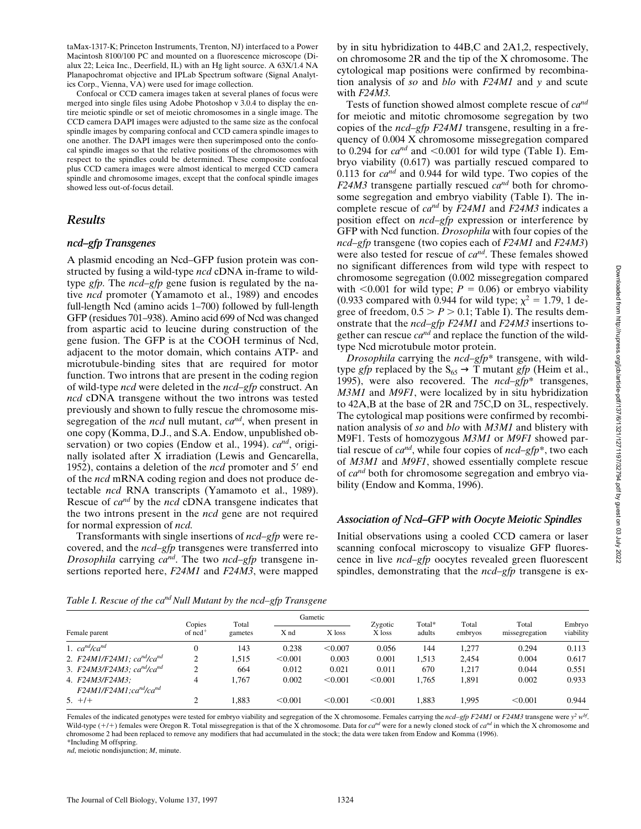taMax-1317-K; Princeton Instruments, Trenton, NJ) interfaced to a Power Macintosh 8100/100 PC and mounted on a fluorescence microscope (Dialux 22; Leica Inc., Deerfield, IL) with an Hg light source. A 63X/1.4 NA Planapochromat objective and IPLab Spectrum software (Signal Analytics Corp., Vienna, VA) were used for image collection.

Confocal or CCD camera images taken at several planes of focus were merged into single files using Adobe Photoshop v 3.0.4 to display the entire meiotic spindle or set of meiotic chromosomes in a single image. The CCD camera DAPI images were adjusted to the same size as the confocal spindle images by comparing confocal and CCD camera spindle images to one another. The DAPI images were then superimposed onto the confocal spindle images so that the relative positions of the chromosomes with respect to the spindles could be determined. These composite confocal plus CCD camera images were almost identical to merged CCD camera spindle and chromosome images, except that the confocal spindle images showed less out-of-focus detail.

#### *Results*

#### *ncd–gfp Transgenes*

A plasmid encoding an Ncd–GFP fusion protein was constructed by fusing a wild-type *ncd* cDNA in-frame to wildtype *gfp.* The *ncd–gfp* gene fusion is regulated by the native *ncd* promoter (Yamamoto et al., 1989) and encodes full-length Ncd (amino acids 1–700) followed by full-length GFP (residues 701–938). Amino acid 699 of Ncd was changed from aspartic acid to leucine during construction of the gene fusion. The GFP is at the COOH terminus of Ncd, adjacent to the motor domain, which contains ATP- and microtubule-binding sites that are required for motor function. Two introns that are present in the coding region of wild-type *ncd* were deleted in the *ncd–gfp* construct. An *ncd* cDNA transgene without the two introns was tested previously and shown to fully rescue the chromosome missegregation of the *ncd* null mutant, *cand*, when present in one copy (Komma, D.J., and S.A. Endow, unpublished observation) or two copies (Endow et al., 1994). *cand*, originally isolated after X irradiation (Lewis and Gencarella, 1952), contains a deletion of the *ncd* promoter and 5' end of the *ncd* mRNA coding region and does not produce detectable *ncd* RNA transcripts (Yamamoto et al., 1989). Rescue of *cand* by the *ncd* cDNA transgene indicates that the two introns present in the *ncd* gene are not required for normal expression of *ncd.*

Transformants with single insertions of *ncd–gfp* were recovered, and the *ncd–gfp* transgenes were transferred into *Drosophila* carrying *cand*. The two *ncd–gfp* transgene insertions reported here, *F24M1* and *F24M3*, were mapped

by in situ hybridization to 44B,C and 2A1,2, respectively, on chromosome 2R and the tip of the X chromosome. The cytological map positions were confirmed by recombination analysis of *so* and *blo* with *F24M1* and *y* and scute with *F24M3.*

Tests of function showed almost complete rescue of *cand* for meiotic and mitotic chromosome segregation by two copies of the *ncd–gfp F24M1* transgene, resulting in a frequency of 0.004 X chromosome missegregation compared to 0.294 for  $ca^{nd}$  and  $\leq 0.001$  for wild type (Table I). Embryo viability (0.617) was partially rescued compared to 0.113 for *cand* and 0.944 for wild type. Two copies of the *F24M3* transgene partially rescued *cand* both for chromosome segregation and embryo viability (Table I). The incomplete rescue of *cand* by *F24M1* and *F24M3* indicates a position effect on *ncd–gfp* expression or interference by GFP with Ncd function. *Drosophila* with four copies of the *ncd–gfp* transgene (two copies each of *F24M1* and *F24M3*) were also tested for rescue of *cand*. These females showed no significant differences from wild type with respect to chromosome segregation (0.002 missegregation compared with  $\leq 0.001$  for wild type;  $P = 0.06$ ) or embryo viability (0.933 compared with 0.944 for wild type;  $\chi^2 = 1.79$ , 1 degree of freedom,  $0.5 > P > 0.1$ ; Table I). The results demonstrate that the *ncd–gfp F24M1* and *F24M3* insertions together can rescue  $ca^{nd}$  and replace the function of the wildtype Ncd microtubule motor protein.

*Drosophila* carrying the *ncd–gfp*\* transgene, with wildtype *gfp* replaced by the  $S_{65} \rightarrow T$  mutant *gfp* (Heim et al., 1995), were also recovered. The *ncd–gfp*\* transgenes, *M3M1* and *M9F1*, were localized by in situ hybridization to 42A,B at the base of 2R and 75C,D on 3L, respectively. The cytological map positions were confirmed by recombination analysis of *so* and *blo* with *M3M1* and blistery with M9F1. Tests of homozygous *M3M1* or *M9F1* showed partial rescue of *cand*, while four copies of *ncd–gfp*\*, two each of *M3M1* and *M9F1*, showed essentially complete rescue of *cand* both for chromosome segregation and embryo viability (Endow and Komma, 1996).

## *Association of Ncd–GFP with Oocyte Meiotic Spindles*

Initial observations using a cooled CCD camera or laser scanning confocal microscopy to visualize GFP fluorescence in live *ncd–gfp* oocytes revealed green fluorescent spindles, demonstrating that the *ncd–gfp* transgene is ex-

Female parent Copies of ncd<sup>-</sup> Total gametes Gametic Zygotic X loss Total\* adults Total embryos Total X nd X loss X loss adults embryos missegregation viability Embryo 1. *ca<sup>nd</sup>/ca<sup>nd</sup>* 6.294 0.113 0.238 < 0.007 0.056 144 1,277 0.294 0.113 2. *F24M1/F24M1; ca<sup>nd</sup>/ca<sup>nd</sup>* 2 1,515 < 0.001 0.003 0.001 1,513 2,454 0.004 0.617 3. *F24M3/F24M3; cand/cand* 2 664 0.012 0.021 0.011 670 1,217 0.044 0.551 4. *F24M3/F24M3;* 4 1,767 0.002 < 0.001 < 0.001 1,765 1,891 0.002 0.933 *F24M1/F24M1;cand/cand* 5.  $+/+$  2 1,883 < 0.001 < 0.001 1,883 1,995 < 0.001 0.944

*Table I. Rescue of the ca<sup>nd</sup> Null Mutant by the ncd–gfp Transgene* 

Females of the indicated genotypes were tested for embryo viability and segregation of the X chromosome. Females carrying the *ncd–gfp F24M1* or *F24M3* transgene were *y2 wbf*. Wild-type (+/+) females were Oregon R. Total missegregation is that of the X chromosome. Data for *ca*<sup>nd</sup> were for a newly cloned stock of *ca*<sup>nd</sup> in which the X chromosome and chromosome 2 had been replaced to remove any modifiers that had accumulated in the stock; the data were taken from Endow and Komma (1996). \*Including M offspring.

*nd*, meiotic nondisjunction; *M*, minute.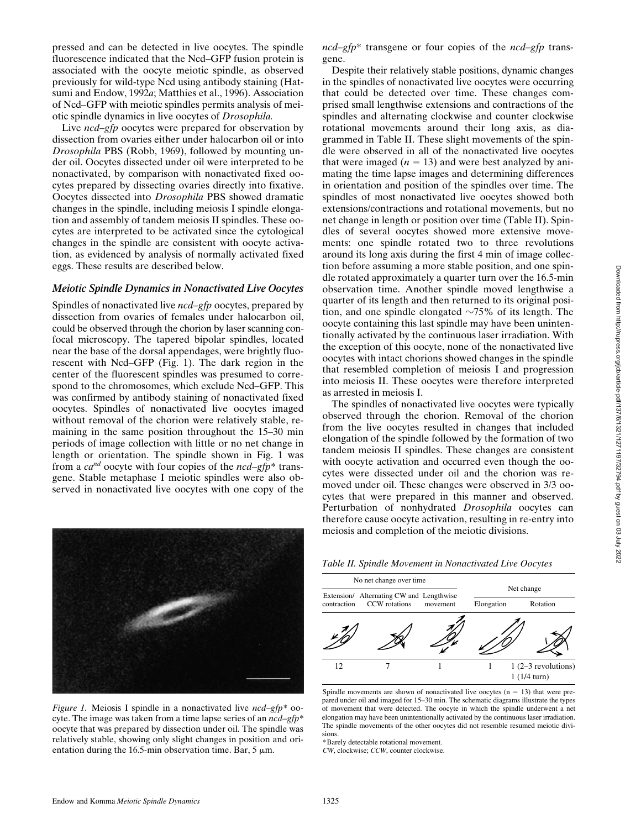pressed and can be detected in live oocytes. The spindle fluorescence indicated that the Ncd–GFP fusion protein is associated with the oocyte meiotic spindle, as observed previously for wild-type Ncd using antibody staining (Hatsumi and Endow, 1992*a*; Matthies et al., 1996). Association of Ncd–GFP with meiotic spindles permits analysis of meiotic spindle dynamics in live oocytes of *Drosophila.*

Live *ncd–gfp* oocytes were prepared for observation by dissection from ovaries either under halocarbon oil or into *Drosophila* PBS (Robb, 1969), followed by mounting under oil. Oocytes dissected under oil were interpreted to be nonactivated, by comparison with nonactivated fixed oocytes prepared by dissecting ovaries directly into fixative. Oocytes dissected into *Drosophila* PBS showed dramatic changes in the spindle, including meiosis I spindle elongation and assembly of tandem meiosis II spindles. These oocytes are interpreted to be activated since the cytological changes in the spindle are consistent with oocyte activation, as evidenced by analysis of normally activated fixed eggs. These results are described below.

#### *Meiotic Spindle Dynamics in Nonactivated Live Oocytes*

Spindles of nonactivated live *ncd–gfp* oocytes, prepared by dissection from ovaries of females under halocarbon oil, could be observed through the chorion by laser scanning confocal microscopy. The tapered bipolar spindles, located near the base of the dorsal appendages, were brightly fluorescent with Ncd–GFP (Fig. 1). The dark region in the center of the fluorescent spindles was presumed to correspond to the chromosomes, which exclude Ncd–GFP. This was confirmed by antibody staining of nonactivated fixed oocytes. Spindles of nonactivated live oocytes imaged without removal of the chorion were relatively stable, remaining in the same position throughout the 15–30 min periods of image collection with little or no net change in length or orientation. The spindle shown in Fig. 1 was from a *cand* oocyte with four copies of the *ncd–gfp*\* transgene. Stable metaphase I meiotic spindles were also observed in nonactivated live oocytes with one copy of the

*Figure 1.* Meiosis I spindle in a nonactivated live *ncd–gfp\** oocyte. The image was taken from a time lapse series of an *ncd–gfp\** oocyte that was prepared by dissection under oil. The spindle was relatively stable, showing only slight changes in position and orientation during the 16.5-min observation time. Bar,  $5 \mu m$ .

*ncd–gfp*\* transgene or four copies of the *ncd–gfp* transgene.

Despite their relatively stable positions, dynamic changes in the spindles of nonactivated live oocytes were occurring that could be detected over time. These changes comprised small lengthwise extensions and contractions of the spindles and alternating clockwise and counter clockwise rotational movements around their long axis, as diagrammed in Table II. These slight movements of the spindle were observed in all of the nonactivated live oocytes that were imaged  $(n = 13)$  and were best analyzed by animating the time lapse images and determining differences in orientation and position of the spindles over time. The spindles of most nonactivated live oocytes showed both extensions/contractions and rotational movements, but no net change in length or position over time (Table II). Spindles of several oocytes showed more extensive movements: one spindle rotated two to three revolutions around its long axis during the first 4 min of image collection before assuming a more stable position, and one spindle rotated approximately a quarter turn over the 16.5-min observation time. Another spindle moved lengthwise a quarter of its length and then returned to its original position, and one spindle elongated  $\sim$ 75% of its length. The oocyte containing this last spindle may have been unintentionally activated by the continuous laser irradiation. With the exception of this oocyte, none of the nonactivated live oocytes with intact chorions showed changes in the spindle that resembled completion of meiosis I and progression into meiosis II. These oocytes were therefore interpreted as arrested in meiosis I.

The spindles of nonactivated live oocytes were typically observed through the chorion. Removal of the chorion from the live oocytes resulted in changes that included elongation of the spindle followed by the formation of two tandem meiosis II spindles. These changes are consistent with oocyte activation and occurred even though the oocytes were dissected under oil and the chorion was removed under oil. These changes were observed in 3/3 oocytes that were prepared in this manner and observed. Perturbation of nonhydrated *Drosophila* oocytes can therefore cause oocyte activation, resulting in re-entry into meiosis and completion of the meiotic divisions.



*Table II. Spindle Movement in Nonactivated Live Oocytes*

\*Barely detectable rotational movement.

*CW*, clockwise; *CCW*, counter clockwise.

Spindle movements are shown of nonactivated live oocytes  $(n = 13)$  that were prepared under oil and imaged for 15–30 min. The schematic diagrams illustrate the types of movement that were detected. The oocyte in which the spindle underwent a net elongation may have been unintentionally activated by the continuous laser irradiation. The spindle movements of the other oocytes did not resemble resumed meiotic divisions.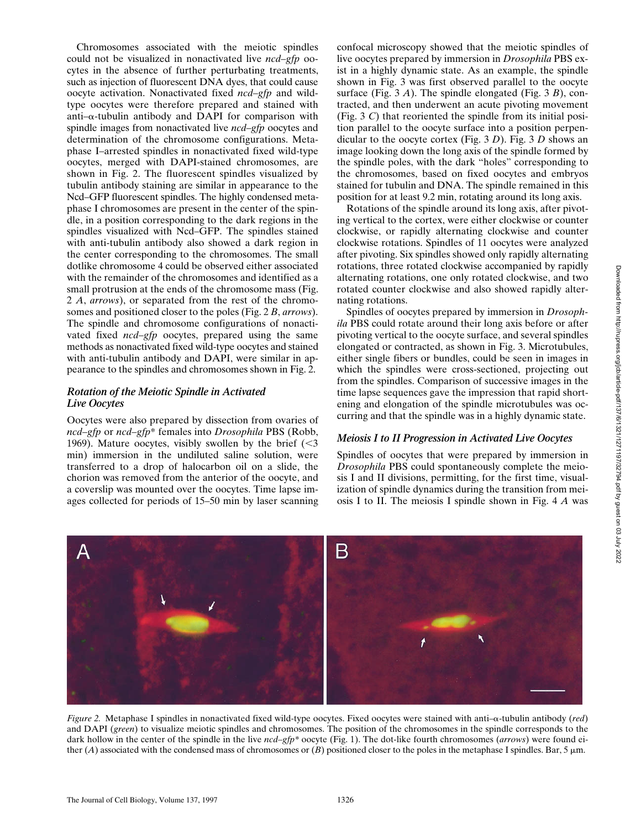Chromosomes associated with the meiotic spindles could not be visualized in nonactivated live *ncd–gfp* oocytes in the absence of further perturbating treatments, such as injection of fluorescent DNA dyes, that could cause oocyte activation. Nonactivated fixed *ncd–gfp* and wildtype oocytes were therefore prepared and stained with anti- $\alpha$ -tubulin antibody and DAPI for comparison with spindle images from nonactivated live *ncd–gfp* oocytes and determination of the chromosome configurations. Metaphase I–arrested spindles in nonactivated fixed wild-type oocytes, merged with DAPI-stained chromosomes, are shown in Fig. 2. The fluorescent spindles visualized by tubulin antibody staining are similar in appearance to the Ncd–GFP fluorescent spindles. The highly condensed metaphase I chromosomes are present in the center of the spindle, in a position corresponding to the dark regions in the spindles visualized with Ncd–GFP. The spindles stained with anti-tubulin antibody also showed a dark region in the center corresponding to the chromosomes. The small dotlike chromosome 4 could be observed either associated with the remainder of the chromosomes and identified as a small protrusion at the ends of the chromosome mass (Fig. 2 *A*, *arrows*), or separated from the rest of the chromosomes and positioned closer to the poles (Fig. 2 *B*, *arrows*). The spindle and chromosome configurations of nonactivated fixed *ncd–gfp* oocytes, prepared using the same methods as nonactivated fixed wild-type oocytes and stained with anti-tubulin antibody and DAPI, were similar in appearance to the spindles and chromosomes shown in Fig. 2.

## *Rotation of the Meiotic Spindle in Activated Live Oocytes*

Oocytes were also prepared by dissection from ovaries of *ncd–gfp* or *ncd–gfp*\* females into *Drosophila* PBS (Robb, 1969). Mature oocytes, visibly swollen by the brief  $\langle$  <3 min) immersion in the undiluted saline solution, were transferred to a drop of halocarbon oil on a slide, the chorion was removed from the anterior of the oocyte, and a coverslip was mounted over the oocytes. Time lapse images collected for periods of 15–50 min by laser scanning confocal microscopy showed that the meiotic spindles of live oocytes prepared by immersion in *Drosophila* PBS exist in a highly dynamic state. As an example, the spindle shown in Fig. 3 was first observed parallel to the oocyte surface (Fig. 3 *A*). The spindle elongated (Fig. 3 *B*), contracted, and then underwent an acute pivoting movement (Fig. 3 *C*) that reoriented the spindle from its initial position parallel to the oocyte surface into a position perpendicular to the oocyte cortex (Fig. 3 *D*). Fig. 3 *D* shows an image looking down the long axis of the spindle formed by the spindle poles, with the dark "holes" corresponding to the chromosomes, based on fixed oocytes and embryos stained for tubulin and DNA. The spindle remained in this position for at least 9.2 min, rotating around its long axis.

Rotations of the spindle around its long axis, after pivoting vertical to the cortex, were either clockwise or counter clockwise, or rapidly alternating clockwise and counter clockwise rotations. Spindles of 11 oocytes were analyzed after pivoting. Six spindles showed only rapidly alternating rotations, three rotated clockwise accompanied by rapidly alternating rotations, one only rotated clockwise, and two rotated counter clockwise and also showed rapidly alternating rotations.

Spindles of oocytes prepared by immersion in *Drosophila* PBS could rotate around their long axis before or after pivoting vertical to the oocyte surface, and several spindles elongated or contracted, as shown in Fig. 3. Microtubules, either single fibers or bundles, could be seen in images in which the spindles were cross-sectioned, projecting out from the spindles. Comparison of successive images in the time lapse sequences gave the impression that rapid shortening and elongation of the spindle microtubules was occurring and that the spindle was in a highly dynamic state.

## *Meiosis I to II Progression in Activated Live Oocytes*

Spindles of oocytes that were prepared by immersion in *Drosophila* PBS could spontaneously complete the meiosis I and II divisions, permitting, for the first time, visualization of spindle dynamics during the transition from meiosis I to II. The meiosis I spindle shown in Fig. 4 *A* was



*Figure 2.* Metaphase I spindles in nonactivated fixed wild-type oocytes. Fixed oocytes were stained with anti–a-tubulin antibody (*red*) and DAPI (*green*) to visualize meiotic spindles and chromosomes. The position of the chromosomes in the spindle corresponds to the dark hollow in the center of the spindle in the live *ncd–gfp\** oocyte (Fig. 1). The dot-like fourth chromosomes (*arrows*) were found either (*A*) associated with the condensed mass of chromosomes or (*B*) positioned closer to the poles in the metaphase I spindles. Bar, 5  $\mu$ m.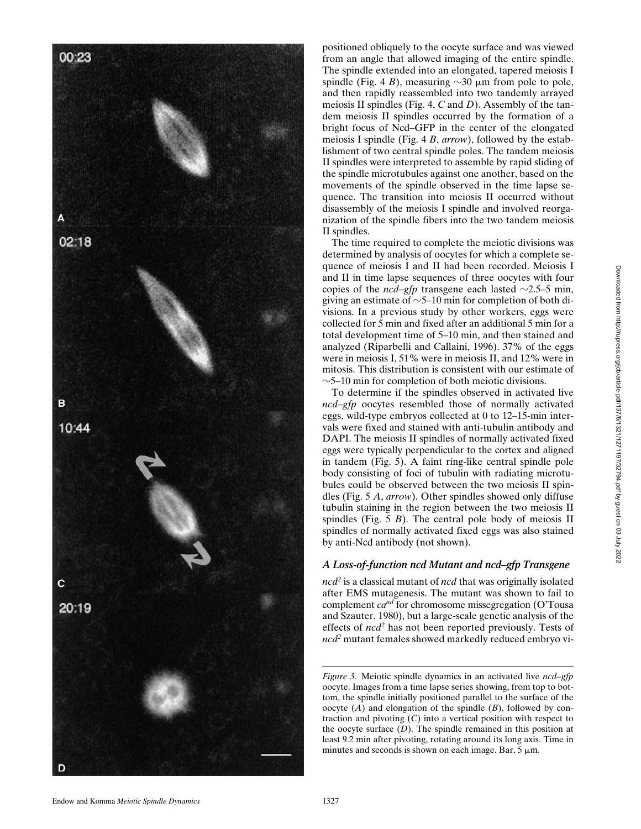

positioned obliquely to the oocyte surface and was viewed from an angle that allowed imaging of the entire spindle. The spindle extended into an elongated, tapered meiosis I spindle (Fig. 4 B), measuring  $\sim$ 30  $\mu$ m from pole to pole, and then rapidly reassembled into two tandemly arrayed meiosis II spindles (Fig. 4, *C* and *D*). Assembly of the tandem meiosis II spindles occurred by the formation of a bright focus of Ncd–GFP in the center of the elongated meiosis I spindle (Fig. 4 *B*, *arrow*), followed by the establishment of two central spindle poles. The tandem meiosis II spindles were interpreted to assemble by rapid sliding of the spindle microtubules against one another, based on the movements of the spindle observed in the time lapse sequence. The transition into meiosis II occurred without disassembly of the meiosis I spindle and involved reorganization of the spindle fibers into the two tandem meiosis II spindles.

The time required to complete the meiotic divisions was determined by analysis of oocytes for which a complete sequence of meiosis I and II had been recorded. Meiosis I and II in time lapse sequences of three oocytes with four copies of the  $ncd-gfp$  transgene each lasted  $\sim$ 2.5–5 min, giving an estimate of  $\sim$ 5–10 min for completion of both divisions. In a previous study by other workers, eggs were collected for 5 min and fixed after an additional 5 min for a total development time of 5–10 min, and then stained and analyzed (Riparbelli and Callaini, 1996). 37% of the eggs were in meiosis I, 51% were in meiosis II, and 12% were in mitosis. This distribution is consistent with our estimate of  $\sim$ 5–10 min for completion of both meiotic divisions.

To determine if the spindles observed in activated live *ncd–gfp* oocytes resembled those of normally activated eggs, wild-type embryos collected at 0 to 12–15-min intervals were fixed and stained with anti-tubulin antibody and DAPI. The meiosis II spindles of normally activated fixed eggs were typically perpendicular to the cortex and aligned in tandem (Fig. 5). A faint ring-like central spindle pole body consisting of foci of tubulin with radiating microtubules could be observed between the two meiosis II spindles (Fig. 5 *A*, *arrow*). Other spindles showed only diffuse tubulin staining in the region between the two meiosis II spindles (Fig. 5 B). The central pole body of meiosis II spindles of normally activated fixed eggs was also stained by anti-Ncd antibody (not shown).

#### *A Loss-of-function ncd Mutant and ncd–gfp Transgene*

*ncd2* is a classical mutant of *ncd* that was originally isolated after EMS mutagenesis. The mutant was shown to fail to complement *cand* for chromosome missegregation (O'Tousa and Szauter, 1980), but a large-scale genetic analysis of the effects of *ncd2* has not been reported previously. Tests of *ncd2* mutant females showed markedly reduced embryo vi-

*Figure 3.* Meiotic spindle dynamics in an activated live *ncd–gfp* oocyte. Images from a time lapse series showing, from top to bottom, the spindle initially positioned parallel to the surface of the oocyte ( *A*) and elongation of the spindle ( *B*), followed by contraction and pivoting (*C*) into a vertical position with respect to the oocyte surface ( *D*). The spindle remained in this position at least 9.2 min after pivoting, rotating around its long axis. Time in minutes and seconds is shown on each image. Bar,  $5 \mu m$ .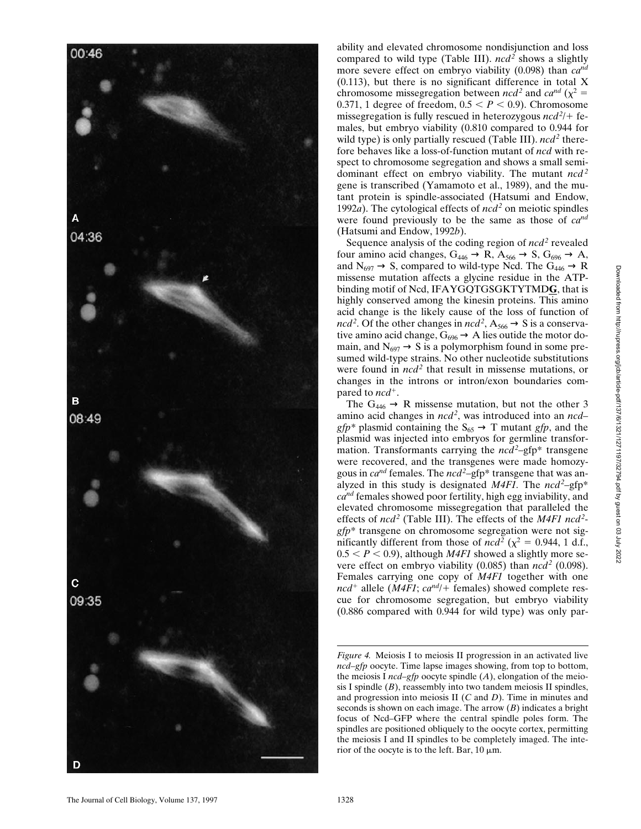

ability and elevated chromosome nondisjunction and loss compared to wild type (Table III). *ncd*<sup>2</sup> shows a slightly more severe effect on embryo viability (0.098) than *cand* (0.113), but there is no significant difference in total X chromosome missegregation between *ncd*<sup>2</sup> and  $ca^{nd}$  ( $\chi^2$  = 0.371, 1 degree of freedom,  $0.5 < P < 0.9$ ). Chromosome missegregation is fully rescued in heterozygous  $ncd^2$  + females, but embryo viability (0.810 compared to 0.944 for wild type) is only partially rescued (Table III).  $ncd^2$  therefore behaves like a loss-of-function mutant of *ncd* with respect to chromosome segregation and shows a small semidominant effect on embryo viability. The mutant *ncd*<sup>2</sup> gene is transcribed (Yamamoto et al., 1989), and the mutant protein is spindle-associated (Hatsumi and Endow, 1992a). The cytological effects of *ncd*<sup>2</sup> on meiotic spindles were found previously to be the same as those of *cand* (Hatsumi and Endow, 1992 *b*).

Sequence analysis of the coding region of  $n c d<sup>2</sup>$  revealed four amino acid changes,  $G_{446} \rightarrow R$ ,  $A_{566} \rightarrow S$ ,  $G_{696} \rightarrow A$ , and  $N_{697} \rightarrow S$ , compared to wild-type Ncd. The  $G_{446} \rightarrow R$ missense mutation affects a glycine residue in the ATPbinding motif of Ncd, IFAYGQTGSGKTYTMD**G**, that is highly conserved among the kinesin proteins. This amino acid change is the likely cause of the loss of function of  $\text{ncd}^2$ . Of the other changes in  $\text{ncd}^2$ ,  $A_{566} \rightarrow S$  is a conservative amino acid change,  $G_{696} \rightarrow A$  lies outide the motor domain, and  $N_{697} \rightarrow S$  is a polymorphism found in some presumed wild-type strains. No other nucleotide substitutions were found in *ncd*<sup>2</sup> that result in missense mutations, or changes in the introns or intron/exon boundaries compared to  $ncd^+$ .

The  $G_{446} \rightarrow R$  missense mutation, but not the other 3 amino acid changes in *ncd 2* , was introduced into an *ncd–*  $gfp^*$  plasmid containing the  $S_{65} \rightarrow T$  mutant  $gfp$ , and the plasmid was injected into embryos for germline transformation. Transformants carrying the *ncd*<sup>2</sup>-gfp\* transgene were recovered, and the transgenes were made homozygous in *cand* females. The *ncd2* –gfp\* transgene that was analyzed in this study is designated  $M4FI$ . The  $ncd^2$ -gfp<sup>\*</sup> *cand* females showed poor fertility, high egg inviability, and elevated chromosome missegregation that paralleled the effects of *ncd*<sup>2</sup> (Table III). The effects of the *M4F1 ncd*<sup>2</sup>*gfp*\* transgene on chromosome segregation were not significantly different from those of  $ncd^2$  ( $\chi^2 = 0.944$ , 1 d.f.,  $0.5 < P < 0.9$ ), although *M4F1* showed a slightly more severe effect on embryo viability (0.085) than *ncd*<sup>2</sup> (0.098). Females carrying one copy of *M4F1* together with one  $ncd^+$  allele (*M4F1*;  $ca^{nd}/+$  females) showed complete rescue for chromosome segregation, but embryo viability (0.886 compared with 0.944 for wild type) was only par-

*Figure 4.* Meiosis I to meiosis II progression in an activated live *ncd–gfp* oocyte. Time lapse images showing, from top to bottom, the meiosis I *ncd–gfp* oocyte spindle ( *A*), elongation of the meiosis I spindle (*B*), reassembly into two tandem meiosis II spindles, and progression into meiosis II ( *C* and *D*). Time in minutes and seconds is shown on each image. The arrow ( *B*) indicates a bright focus of Ncd–GFP where the central spindle poles form. The spindles are positioned obliquely to the oocyte cortex, permitting the meiosis I and II spindles to be completely imaged. The interior of the oocyte is to the left. Bar,  $10 \mu m$ .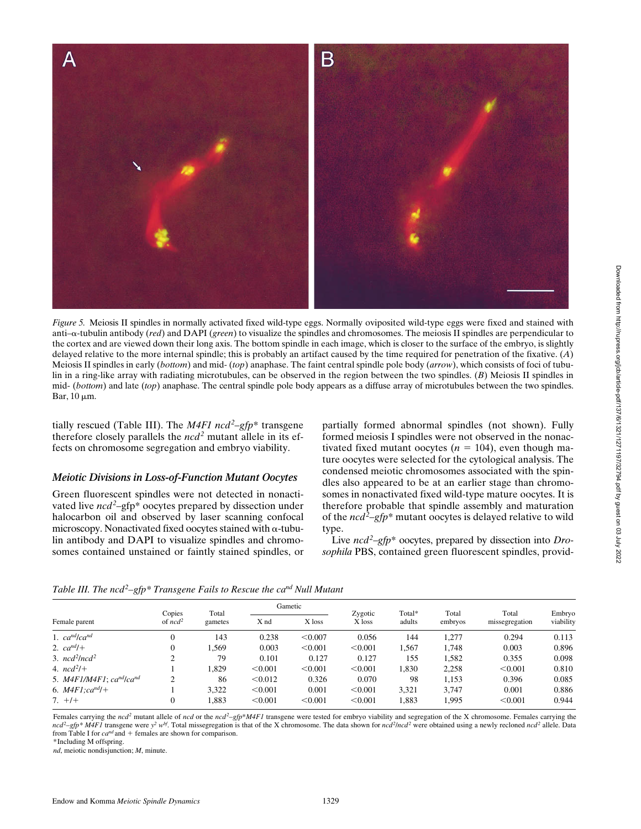

*Figure 5.* Meiosis II spindles in normally activated fixed wild-type eggs. Normally oviposited wild-type eggs were fixed and stained with anti–a-tubulin antibody (*red*) and DAPI (*green*) to visualize the spindles and chromosomes. The meiosis II spindles are perpendicular to the cortex and are viewed down their long axis. The bottom spindle in each image, which is closer to the surface of the embryo, is slightly delayed relative to the more internal spindle; this is probably an artifact caused by the time required for penetration of the fixative. (*A*) Meiosis II spindles in early (*bottom*) and mid- (*top*) anaphase. The faint central spindle pole body (*arrow*), which consists of foci of tubulin in a ring-like array with radiating microtubules, can be observed in the region between the two spindles. (*B*) Meiosis II spindles in mid- (*bottom*) and late (*top*) anaphase. The central spindle pole body appears as a diffuse array of microtubules between the two spindles. Bar,  $10 \mu m$ .

tially rescued (Table III). The *M4F1 ncd<sup>2</sup>-gfp*\* transgene therefore closely parallels the *ncd*<sup>2</sup> mutant allele in its effects on chromosome segregation and embryo viability.

#### *Meiotic Divisions in Loss-of-Function Mutant Oocytes*

Green fluorescent spindles were not detected in nonactivated live *ncd*<sup>2</sup>-gfp\* oocytes prepared by dissection under halocarbon oil and observed by laser scanning confocal microscopy. Nonactivated fixed oocytes stained with  $\alpha$ -tubulin antibody and DAPI to visualize spindles and chromosomes contained unstained or faintly stained spindles, or partially formed abnormal spindles (not shown). Fully formed meiosis I spindles were not observed in the nonactivated fixed mutant oocytes ( $n = 104$ ), even though mature oocytes were selected for the cytological analysis. The condensed meiotic chromosomes associated with the spindles also appeared to be at an earlier stage than chromosomes in nonactivated fixed wild-type mature oocytes. It is therefore probable that spindle assembly and maturation of the *ncd2* –*gfp*\* mutant oocytes is delayed relative to wild type.

Live *ncd2* –*gfp*\* oocytes, prepared by dissection into *Drosophila* PBS, contained green fluorescent spindles, provid-

| Table III. The ncd <sup>2</sup> -gfp* Transgene Fails to Rescue the ca <sup>nd</sup> Null Mutant |  |  |
|--------------------------------------------------------------------------------------------------|--|--|
|--------------------------------------------------------------------------------------------------|--|--|

| Female parent                | Copies<br>of $ncd^2$ | Total<br>gametes | Gametic |         |                   | Total* | Total   | Total          |                     |
|------------------------------|----------------------|------------------|---------|---------|-------------------|--------|---------|----------------|---------------------|
|                              |                      |                  | X nd    | X loss  | Zygotic<br>X loss | adults | embryos | missegregation | Embryo<br>viability |
| 1. $ca^{nd}/ca^{nd}$         |                      | 143              | 0.238   | < 0.007 | 0.056             | 144    | 1.277   | 0.294          | 0.113               |
| 2. $ca^{nd}/+$               |                      | .569             | 0.003   | < 0.001 | < 0.001           | 1.567  | 1.748   | 0.003          | 0.896               |
| 3. $ncd^2lnc d^2$            |                      | 79               | 0.101   | 0.127   | 0.127             | 155    | 1,582   | 0.355          | 0.098               |
| 4. $ncd^2/+$                 |                      | .829             | < 0.001 | < 0.001 | < 0.001           | 1,830  | 2,258   | < 0.001        | 0.810               |
| 5. $M4F1/M4F1$ ; $cand/cand$ | ◠                    | 86               | < 0.012 | 0.326   | 0.070             | 98     | 1.153   | 0.396          | 0.085               |
| 6. $M4F1:ca^{nd}/+$          |                      | 3.322            | < 0.001 | 0.001   | < 0.001           | 3,321  | 3.747   | 0.001          | 0.886               |
| $7. +/+$                     |                      | .883             | < 0.001 | < 0.001 | < 0.001           | 1,883  | 1,995   | < 0.001        | 0.944               |

Females carrying the *ncd*<sup>2</sup> mutant allele of *ncd* or the *ncd*<sup>2</sup>–*gfp*\**M4F1* transgene were tested for embryo viability and segregation of the X chromosome. Females carrying the  $ncd^2-gfp*M4FI$  transgene were  $y^2 w^{bf}$ . Total missegregation is that of the X chromosome. The data shown for  $ncd^2ncd^2$  were obtained using a newly recloned  $ncd^2$  allele. Data from Table I for  $ca^{nd}$  and  $+$  females are shown for comparison.

\*Including M offspring.

*nd*, meiotic nondisjunction; *M*, minute.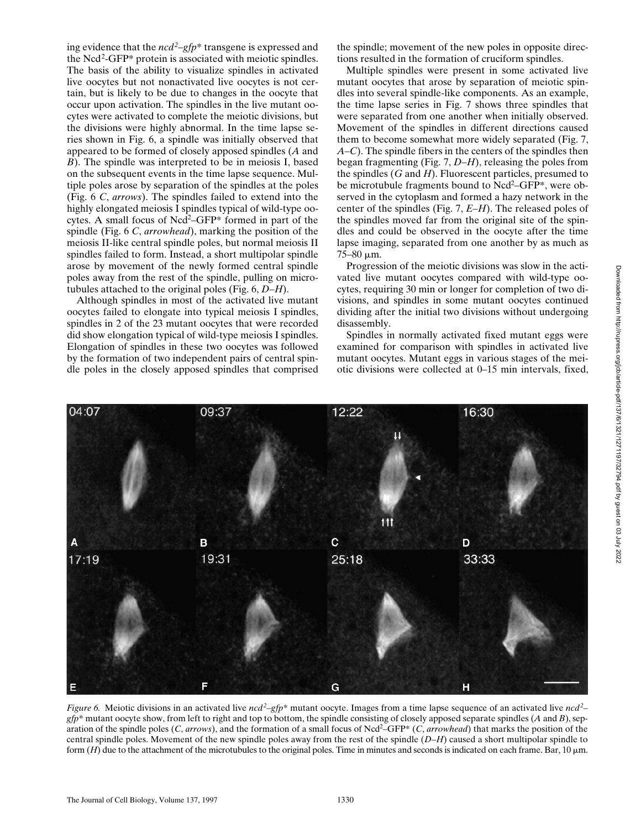ing evidence that the *ncd2* –*gfp*\* transgene is expressed and the Ncd<sup>2</sup>-GFP\* protein is associated with meiotic spindles. The basis of the ability to visualize spindles in activated live oocytes but not nonactivated live oocytes is not certain, but is likely to be due to changes in the oocyte that occur upon activation. The spindles in the live mutant oocytes were activated to complete the meiotic divisions, but the divisions were highly abnormal. In the time lapse series shown in Fig. 6, a spindle was initially observed that appeared to be formed of closely apposed spindles (*A* and *B*). The spindle was interpreted to be in meiosis I, based on the subsequent events in the time lapse sequence. Multiple poles arose by separation of the spindles at the poles (Fig. 6 *C*, *arrows*). The spindles failed to extend into the highly elongated meiosis I spindles typical of wild-type oocytes. A small focus of Ncd<sup>2</sup>–GFP\* formed in part of the spindle (Fig. 6 *C*, *arrowhead*), marking the position of the meiosis II-like central spindle poles, but normal meiosis II spindles failed to form. Instead, a short multipolar spindle arose by movement of the newly formed central spindle poles away from the rest of the spindle, pulling on microtubules attached to the original poles (Fig. 6, *D–H*).

Although spindles in most of the activated live mutant oocytes failed to elongate into typical meiosis I spindles, spindles in 2 of the 23 mutant oocytes that were recorded did show elongation typical of wild-type meiosis I spindles. Elongation of spindles in these two oocytes was followed by the formation of two independent pairs of central spindle poles in the closely apposed spindles that comprised

the spindle; movement of the new poles in opposite directions resulted in the formation of cruciform spindles.

Multiple spindles were present in some activated live mutant oocytes that arose by separation of meiotic spindles into several spindle-like components. As an example, the time lapse series in Fig. 7 shows three spindles that were separated from one another when initially observed. Movement of the spindles in different directions caused them to become somewhat more widely separated (Fig. 7, *A–C*). The spindle fibers in the centers of the spindles then began fragmenting (Fig. 7, *D–H*), releasing the poles from the spindles (*G* and *H*). Fluorescent particles, presumed to be microtubule fragments bound to Ncd<sup>2</sup>–GFP\*, were observed in the cytoplasm and formed a hazy network in the center of the spindles (Fig. 7, *E–H*). The released poles of the spindles moved far from the original site of the spindles and could be observed in the oocyte after the time lapse imaging, separated from one another by as much as  $75-80 \mu m$ .

Progression of the meiotic divisions was slow in the activated live mutant oocytes compared with wild-type oocytes, requiring 30 min or longer for completion of two divisions, and spindles in some mutant oocytes continued dividing after the initial two divisions without undergoing disassembly.

Spindles in normally activated fixed mutant eggs were examined for comparison with spindles in activated live mutant oocytes. Mutant eggs in various stages of the meiotic divisions were collected at 0–15 min intervals, fixed,



*Figure 6.* Meiotic divisions in an activated live *ncd<sup>2</sup>*-gfp<sup>\*</sup> mutant oocyte. Images from a time lapse sequence of an activated live *ncd*<sup>2</sup>*gfp*\* mutant oocyte show, from left to right and top to bottom, the spindle consisting of closely apposed separate spindles (*A* and *B*), separation of the spindle poles (*C*, *arrows*), and the formation of a small focus of Ncd<sup>2</sup>–GFP\* (*C*, *arrowhead*) that marks the position of the central spindle poles. Movement of the new spindle poles away from the rest of the spindle (*D–H*) caused a short multipolar spindle to form  $(H)$  due to the attachment of the microtubules to the original poles. Time in minutes and seconds is indicated on each frame. Bar, 10  $\mu$ m.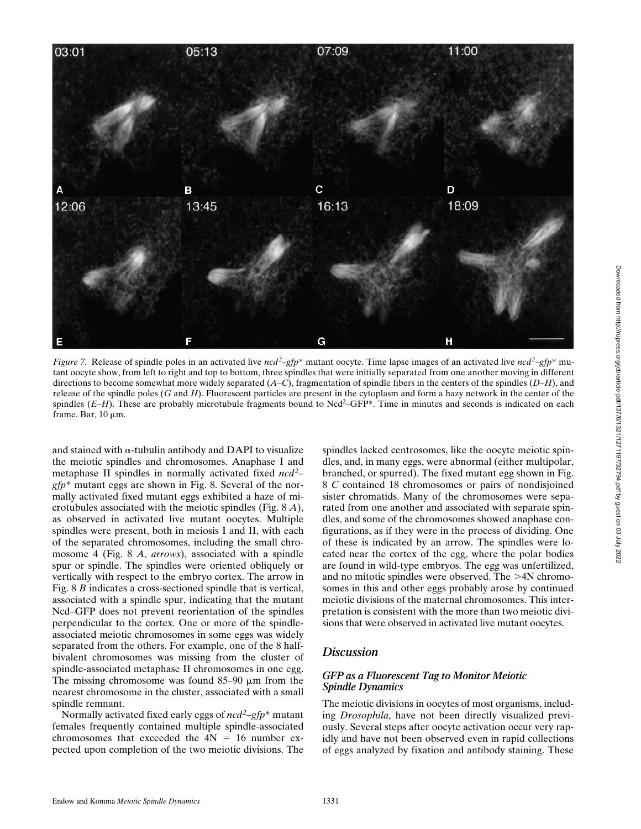

*Figure 7.* Release of spindle poles in an activated live  $ncd^2-gfp^*$  mutant oocyte. Time lapse images of an activated live  $ncd^2-gfp^*$  mutant oocyte show, from left to right and top to bottom, three spindles that were initially separated from one another moving in different directions to become somewhat more widely separated (*A–C*), fragmentation of spindle fibers in the centers of the spindles (*D–H*), and release of the spindle poles (*G* and *H*). Fluorescent particles are present in the cytoplasm and form a hazy network in the center of the spindles (*E–H*). These are probably microtubule fragments bound to Ncd<sup>2</sup>–GFP\*. Time in minutes and seconds is indicated on each frame. Bar,  $10 \mu m$ .

and stained with  $\alpha$ -tubulin antibody and DAPI to visualize the meiotic spindles and chromosomes. Anaphase I and metaphase II spindles in normally activated fixed *ncd2* – *gfp*\* mutant eggs are shown in Fig. 8. Several of the normally activated fixed mutant eggs exhibited a haze of microtubules associated with the meiotic spindles (Fig. 8 *A*), as observed in activated live mutant oocytes. Multiple spindles were present, both in meiosis I and II, with each of the separated chromosomes, including the small chromosome 4 (Fig. 8 *A*, *arrows*), associated with a spindle spur or spindle. The spindles were oriented obliquely or vertically with respect to the embryo cortex. The arrow in Fig. 8 *B* indicates a cross-sectioned spindle that is vertical, associated with a spindle spur, indicating that the mutant Ncd–GFP does not prevent reorientation of the spindles perpendicular to the cortex. One or more of the spindleassociated meiotic chromosomes in some eggs was widely separated from the others. For example, one of the 8 halfbivalent chromosomes was missing from the cluster of spindle-associated metaphase II chromosomes in one egg. The missing chromosome was found  $85-90 \mu m$  from the nearest chromosome in the cluster, associated with a small spindle remnant.

Normally activated fixed early eggs of *ncd<sup>2</sup>* –*gfp*\* mutant females frequently contained multiple spindle-associated chromosomes that exceeded the  $4N = 16$  number expected upon completion of the two meiotic divisions. The

spindles lacked centrosomes, like the oocyte meiotic spindles, and, in many eggs, were abnormal (either multipolar, branched, or spurred). The fixed mutant egg shown in Fig. 8 *C* contained 18 chromosomes or pairs of nondisjoined sister chromatids. Many of the chromosomes were separated from one another and associated with separate spindles, and some of the chromosomes showed anaphase configurations, as if they were in the process of dividing. One of these is indicated by an arrow. The spindles were located near the cortex of the egg, where the polar bodies are found in wild-type embryos. The egg was unfertilized, and no mitotic spindles were observed. The  $>4N$  chromosomes in this and other eggs probably arose by continued meiotic divisions of the maternal chromosomes. This interpretation is consistent with the more than two meiotic divisions that were observed in activated live mutant oocytes.

## *Discussion*

#### *GFP as a Fluorescent Tag to Monitor Meiotic Spindle Dynamics*

The meiotic divisions in oocytes of most organisms, including *Drosophila*, have not been directly visualized previously. Several steps after oocyte activation occur very rapidly and have not been observed even in rapid collections of eggs analyzed by fixation and antibody staining. These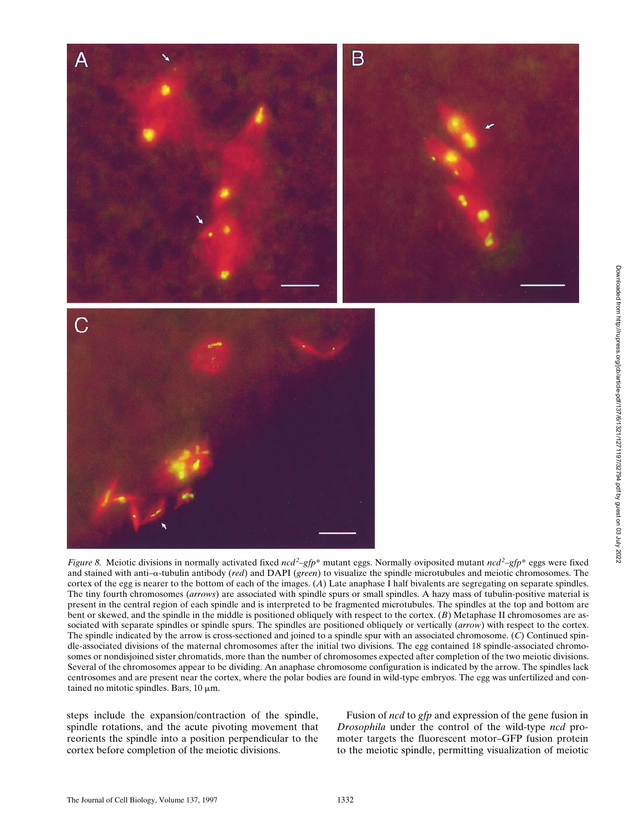

*Figure 8.* Meiotic divisions in normally activated fixed *ncd*<sup>2</sup>–*gfp*\* mutant eggs. Normally oviposited mutant *ncd*<sup>2</sup>–*gfp*\* eggs were fixed and stained with anti–a-tubulin antibody (*red*) and DAPI (*green*) to visualize the spindle microtubules and meiotic chromosomes. The cortex of the egg is nearer to the bottom of each of the images. (*A*) Late anaphase I half bivalents are segregating on separate spindles. The tiny fourth chromosomes (*arrows*) are associated with spindle spurs or small spindles. A hazy mass of tubulin-positive material is present in the central region of each spindle and is interpreted to be fragmented microtubules. The spindles at the top and bottom are bent or skewed, and the spindle in the middle is positioned obliquely with respect to the cortex. (*B*) Metaphase II chromosomes are associated with separate spindles or spindle spurs. The spindles are positioned obliquely or vertically (*arrow*) with respect to the cortex. The spindle indicated by the arrow is cross-sectioned and joined to a spindle spur with an associated chromosome. (*C*) Continued spindle-associated divisions of the maternal chromosomes after the initial two divisions. The egg contained 18 spindle-associated chromosomes or nondisjoined sister chromatids, more than the number of chromosomes expected after completion of the two meiotic divisions. Several of the chromosomes appear to be dividing. An anaphase chromosome configuration is indicated by the arrow. The spindles lack centrosomes and are present near the cortex, where the polar bodies are found in wild-type embryos. The egg was unfertilized and contained no mitotic spindles. Bars,  $10 \mu m$ .

steps include the expansion/contraction of the spindle, spindle rotations, and the acute pivoting movement that reorients the spindle into a position perpendicular to the cortex before completion of the meiotic divisions.

Fusion of *ncd* to *gfp* and expression of the gene fusion in *Drosophila* under the control of the wild-type *ncd* promoter targets the fluorescent motor–GFP fusion protein to the meiotic spindle, permitting visualization of meiotic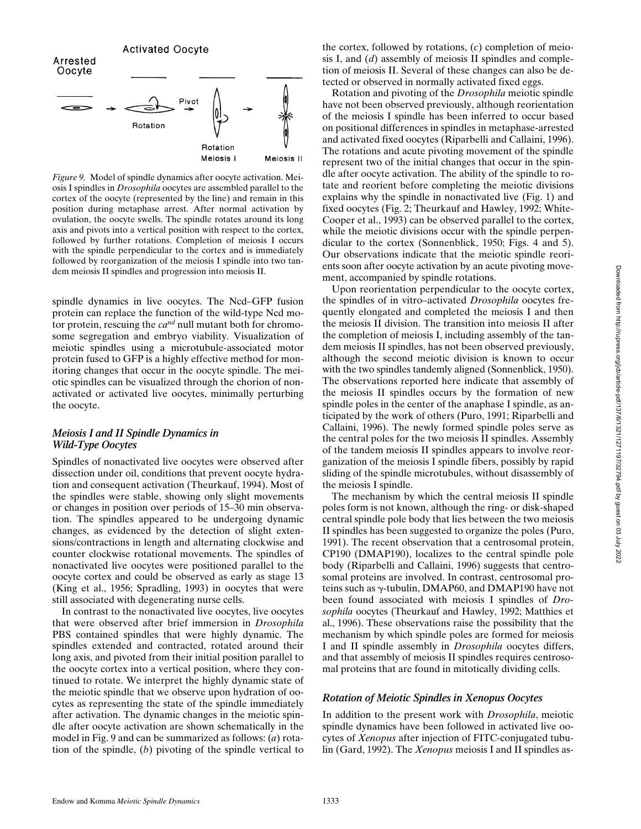

*Figure 9.* Model of spindle dynamics after oocyte activation. Meiosis I spindles in *Drosophila* oocytes are assembled parallel to the cortex of the oocyte (represented by the line) and remain in this position during metaphase arrest. After normal activation by ovulation, the oocyte swells. The spindle rotates around its long axis and pivots into a vertical position with respect to the cortex, followed by further rotations. Completion of meiosis I occurs with the spindle perpendicular to the cortex and is immediately followed by reorganization of the meiosis I spindle into two tandem meiosis II spindles and progression into meiosis II.

spindle dynamics in live oocytes. The Ncd–GFP fusion protein can replace the function of the wild-type Ncd motor protein, rescuing the *cand* null mutant both for chromosome segregation and embryo viability. Visualization of meiotic spindles using a microtubule-associated motor protein fused to GFP is a highly effective method for monitoring changes that occur in the oocyte spindle. The meiotic spindles can be visualized through the chorion of nonactivated or activated live oocytes, minimally perturbing the oocyte.

#### *Meiosis I and II Spindle Dynamics in Wild-Type Oocytes*

Spindles of nonactivated live oocytes were observed after dissection under oil, conditions that prevent oocyte hydration and consequent activation (Theurkauf, 1994). Most of the spindles were stable, showing only slight movements or changes in position over periods of 15–30 min observation. The spindles appeared to be undergoing dynamic changes, as evidenced by the detection of slight extensions/contractions in length and alternating clockwise and counter clockwise rotational movements. The spindles of nonactivated live oocytes were positioned parallel to the oocyte cortex and could be observed as early as stage 13 (King et al., 1956; Spradling, 1993) in oocytes that were still associated with degenerating nurse cells.

In contrast to the nonactivated live oocytes, live oocytes that were observed after brief immersion in *Drosophila* PBS contained spindles that were highly dynamic. The spindles extended and contracted, rotated around their long axis, and pivoted from their initial position parallel to the oocyte cortex into a vertical position, where they continued to rotate. We interpret the highly dynamic state of the meiotic spindle that we observe upon hydration of oocytes as representing the state of the spindle immediately after activation. The dynamic changes in the meiotic spindle after oocyte activation are shown schematically in the model in Fig. 9 and can be summarized as follows: (*a*) rotation of the spindle, (*b*) pivoting of the spindle vertical to

the cortex, followed by rotations, (*c*) completion of meiosis I, and (*d*) assembly of meiosis II spindles and completion of meiosis II. Several of these changes can also be detected or observed in normally activated fixed eggs.

Rotation and pivoting of the *Drosophila* meiotic spindle have not been observed previously, although reorientation of the meiosis I spindle has been inferred to occur based on positional differences in spindles in metaphase-arrested and activated fixed oocytes (Riparbelli and Callaini, 1996). The rotations and acute pivoting movement of the spindle represent two of the initial changes that occur in the spindle after oocyte activation. The ability of the spindle to rotate and reorient before completing the meiotic divisions explains why the spindle in nonactivated live (Fig. 1) and fixed oocytes (Fig. 2; Theurkauf and Hawley, 1992; White-Cooper et al., 1993) can be observed parallel to the cortex, while the meiotic divisions occur with the spindle perpendicular to the cortex (Sonnenblick, 1950; Figs. 4 and 5). Our observations indicate that the meiotic spindle reorients soon after oocyte activation by an acute pivoting movement, accompanied by spindle rotations.

Upon reorientation perpendicular to the oocyte cortex, the spindles of in vitro–activated *Drosophila* oocytes frequently elongated and completed the meiosis I and then the meiosis II division. The transition into meiosis II after the completion of meiosis I, including assembly of the tandem meiosis II spindles, has not been observed previously, although the second meiotic division is known to occur with the two spindles tandemly aligned (Sonnenblick, 1950). The observations reported here indicate that assembly of the meiosis II spindles occurs by the formation of new spindle poles in the center of the anaphase I spindle, as anticipated by the work of others (Puro, 1991; Riparbelli and Callaini, 1996). The newly formed spindle poles serve as the central poles for the two meiosis II spindles. Assembly of the tandem meiosis II spindles appears to involve reorganization of the meiosis I spindle fibers, possibly by rapid sliding of the spindle microtubules, without disassembly of the meiosis I spindle.

The mechanism by which the central meiosis II spindle poles form is not known, although the ring- or disk-shaped central spindle pole body that lies between the two meiosis II spindles has been suggested to organize the poles (Puro, 1991). The recent observation that a centrosomal protein, CP190 (DMAP190), localizes to the central spindle pole body (Riparbelli and Callaini, 1996) suggests that centrosomal proteins are involved. In contrast, centrosomal proteins such as  $\gamma$ -tubulin, DMAP60, and DMAP190 have not been found associated with meiosis I spindles of *Drosophila* oocytes (Theurkauf and Hawley, 1992; Matthies et al., 1996). These observations raise the possibility that the mechanism by which spindle poles are formed for meiosis I and II spindle assembly in *Drosophila* oocytes differs, and that assembly of meiosis II spindles requires centrosomal proteins that are found in mitotically dividing cells.

#### *Rotation of Meiotic Spindles in Xenopus Oocytes*

In addition to the present work with *Drosophila*, meiotic spindle dynamics have been followed in activated live oocytes of *Xenopus* after injection of FITC-conjugated tubulin (Gard, 1992). The *Xenopus* meiosis I and II spindles as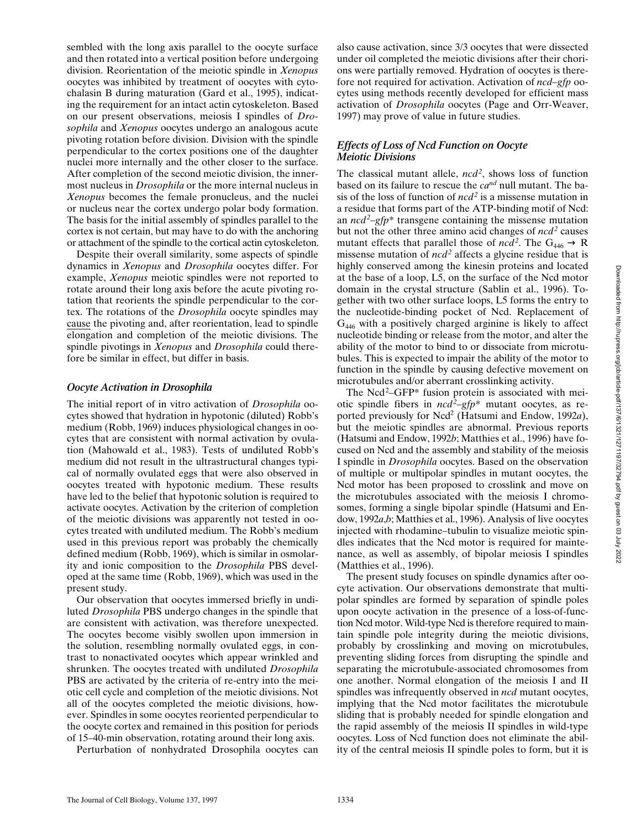sembled with the long axis parallel to the oocyte surface and then rotated into a vertical position before undergoing division. Reorientation of the meiotic spindle in *Xenopus* oocytes was inhibited by treatment of oocytes with cytochalasin B during maturation (Gard et al., 1995), indicating the requirement for an intact actin cytoskeleton. Based on our present observations, meiosis I spindles of *Drosophila* and *Xenopus* oocytes undergo an analogous acute pivoting rotation before division. Division with the spindle perpendicular to the cortex positions one of the daughter nuclei more internally and the other closer to the surface. After completion of the second meiotic division, the innermost nucleus in *Drosophila* or the more internal nucleus in *Xenopus* becomes the female pronucleus, and the nuclei or nucleus near the cortex undergo polar body formation. The basis for the initial assembly of spindles parallel to the cortex is not certain, but may have to do with the anchoring or attachment of the spindle to the cortical actin cytoskeleton.

Despite their overall similarity, some aspects of spindle dynamics in *Xenopus* and *Drosophila* oocytes differ. For example, *Xenopus* meiotic spindles were not reported to rotate around their long axis before the acute pivoting rotation that reorients the spindle perpendicular to the cortex. The rotations of the *Drosophila* oocyte spindles may cause the pivoting and, after reorientation, lead to spindle elongation and completion of the meiotic divisions. The spindle pivotings in *Xenopus* and *Drosophila* could therefore be similar in effect, but differ in basis.

#### *Oocyte Activation in Drosophila*

The initial report of in vitro activation of *Drosophila* oocytes showed that hydration in hypotonic (diluted) Robb's medium (Robb, 1969) induces physiological changes in oocytes that are consistent with normal activation by ovulation (Mahowald et al., 1983). Tests of undiluted Robb's medium did not result in the ultrastructural changes typical of normally ovulated eggs that were also observed in oocytes treated with hypotonic medium. These results have led to the belief that hypotonic solution is required to activate oocytes. Activation by the criterion of completion of the meiotic divisions was apparently not tested in oocytes treated with undiluted medium. The Robb's medium used in this previous report was probably the chemically defined medium (Robb, 1969), which is similar in osmolarity and ionic composition to the *Drosophila* PBS developed at the same time (Robb, 1969), which was used in the present study.

Our observation that oocytes immersed briefly in undiluted *Drosophila* PBS undergo changes in the spindle that are consistent with activation, was therefore unexpected. The oocytes become visibly swollen upon immersion in the solution, resembling normally ovulated eggs, in contrast to nonactivated oocytes which appear wrinkled and shrunken. The oocytes treated with undiluted *Drosophila* PBS are activated by the criteria of re-entry into the meiotic cell cycle and completion of the meiotic divisions. Not all of the oocytes completed the meiotic divisions, however. Spindles in some oocytes reoriented perpendicular to the oocyte cortex and remained in this position for periods of 15–40-min observation, rotating around their long axis.

Perturbation of nonhydrated Drosophila oocytes can

also cause activation, since 3/3 oocytes that were dissected under oil completed the meiotic divisions after their chorions were partially removed. Hydration of oocytes is therefore not required for activation. Activation of *ncd–gfp* oocytes using methods recently developed for efficient mass activation of *Drosophila* oocytes (Page and Orr-Weaver, 1997) may prove of value in future studies.

### *Effects of Loss of Ncd Function on Oocyte Meiotic Divisions*

The classical mutant allele, *ncd2* , shows loss of function based on its failure to rescue the *cand* null mutant. The basis of the loss of function of *ncd2* is a missense mutation in a residue that forms part of the ATP-binding motif of Ncd: an *ncd2* –*gfp*\* transgene containing the missense mutation but not the other three amino acid changes of *ncd*<sup>2</sup> causes mutant effects that parallel those of *ncd*<sup>2</sup>. The  $G_{446} \rightarrow R$ missense mutation of  $ncd^2$  affects a glycine residue that is highly conserved among the kinesin proteins and located at the base of a loop, L5, on the surface of the Ncd motor domain in the crystal structure (Sablin et al., 1996). Together with two other surface loops, L5 forms the entry to the nucleotide-binding pocket of Ncd. Replacement of  $G<sub>446</sub>$  with a positively charged arginine is likely to affect nucleotide binding or release from the motor, and alter the ability of the motor to bind to or dissociate from microtubules. This is expected to impair the ability of the motor to function in the spindle by causing defective movement on microtubules and/or aberrant crosslinking activity.

The Ncd<sup>2</sup>-GFP\* fusion protein is associated with meiotic spindle fibers in *ncd2* –*gfp*\* mutant oocytes, as reported previously for Ncd<sup>2</sup> (Hatsumi and Endow, 1992a), but the meiotic spindles are abnormal. Previous reports (Hatsumi and Endow, 1992*b*; Matthies et al., 1996) have focused on Ncd and the assembly and stability of the meiosis I spindle in *Drosophila* oocytes. Based on the observation of multiple or multipolar spindles in mutant oocytes, the Ncd motor has been proposed to crosslink and move on the microtubules associated with the meiosis I chromosomes, forming a single bipolar spindle (Hatsumi and Endow, 1992*a*,*b*; Matthies et al., 1996). Analysis of live oocytes injected with rhodamine–tubulin to visualize meiotic spindles indicates that the Ncd motor is required for maintenance, as well as assembly, of bipolar meiosis I spindles (Matthies et al., 1996).

The present study focuses on spindle dynamics after oocyte activation. Our observations demonstrate that multipolar spindles are formed by separation of spindle poles upon oocyte activation in the presence of a loss-of-function Ncd motor. Wild-type Ncd is therefore required to maintain spindle pole integrity during the meiotic divisions, probably by crosslinking and moving on microtubules, preventing sliding forces from disrupting the spindle and separating the microtubule-associated chromosomes from one another. Normal elongation of the meiosis I and II spindles was infrequently observed in *ncd* mutant oocytes, implying that the Ncd motor facilitates the microtubule sliding that is probably needed for spindle elongation and the rapid assembly of the meiosis II spindles in wild-type oocytes. Loss of Ncd function does not eliminate the ability of the central meiosis II spindle poles to form, but it is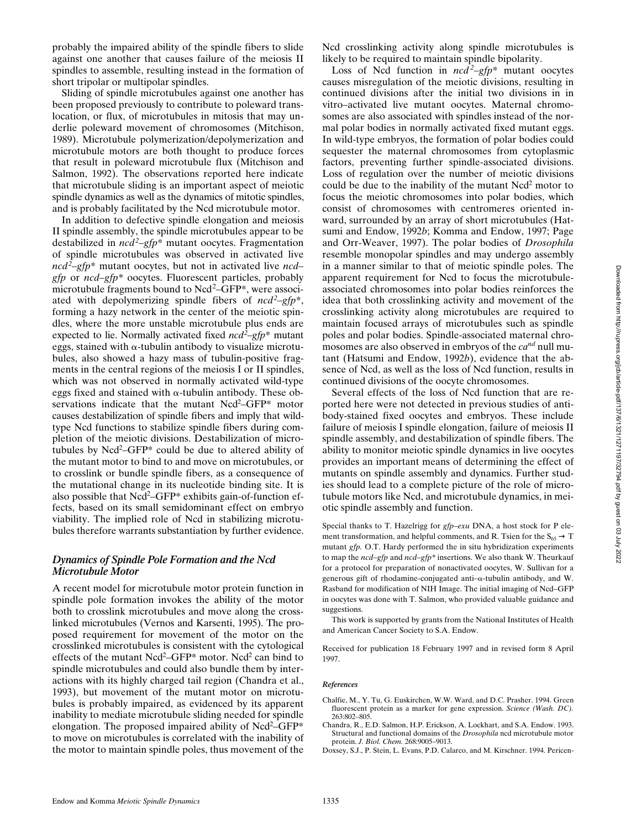probably the impaired ability of the spindle fibers to slide against one another that causes failure of the meiosis II spindles to assemble, resulting instead in the formation of short tripolar or multipolar spindles.

Sliding of spindle microtubules against one another has been proposed previously to contribute to poleward translocation, or flux, of microtubules in mitosis that may underlie poleward movement of chromosomes (Mitchison, 1989). Microtubule polymerization/depolymerization and microtubule motors are both thought to produce forces that result in poleward microtubule flux (Mitchison and Salmon, 1992). The observations reported here indicate that microtubule sliding is an important aspect of meiotic spindle dynamics as well as the dynamics of mitotic spindles, and is probably facilitated by the Ncd microtubule motor.

In addition to defective spindle elongation and meiosis II spindle assembly, the spindle microtubules appear to be destabilized in *ncd<sup>2</sup>* –*gfp*\* mutant oocytes. Fragmentation of spindle microtubules was observed in activated live *ncd2* –*gfp*\* mutant oocytes, but not in activated live *ncd– gfp* or *ncd–gfp\** oocytes. Fluorescent particles, probably microtubule fragments bound to Ncd<sup>2</sup>–GFP\*, were associated with depolymerizing spindle fibers of *ncd2* –*gfp*\*, forming a hazy network in the center of the meiotic spindles, where the more unstable microtubule plus ends are expected to lie. Normally activated fixed *ncd2* –*gfp*\* mutant eggs, stained with  $\alpha$ -tubulin antibody to visualize microtubules, also showed a hazy mass of tubulin-positive fragments in the central regions of the meiosis I or II spindles, which was not observed in normally activated wild-type eggs fixed and stained with  $\alpha$ -tubulin antibody. These observations indicate that the mutant Ncd<sup>2</sup>–GFP\* motor causes destabilization of spindle fibers and imply that wildtype Ncd functions to stabilize spindle fibers during completion of the meiotic divisions. Destabilization of microtubules by Ncd<sup>2</sup>–GFP\* could be due to altered ability of the mutant motor to bind to and move on microtubules, or to crosslink or bundle spindle fibers, as a consequence of the mutational change in its nucleotide binding site. It is also possible that Ncd<sup>2</sup>-GFP\* exhibits gain-of-function effects, based on its small semidominant effect on embryo viability. The implied role of Ncd in stabilizing microtubules therefore warrants substantiation by further evidence.

#### *Dynamics of Spindle Pole Formation and the Ncd Microtubule Motor*

A recent model for microtubule motor protein function in spindle pole formation invokes the ability of the motor both to crosslink microtubules and move along the crosslinked microtubules (Vernos and Karsenti, 1995). The proposed requirement for movement of the motor on the crosslinked microtubules is consistent with the cytological effects of the mutant Ncd<sup>2</sup>–GFP\* motor. Ncd<sup>2</sup> can bind to spindle microtubules and could also bundle them by interactions with its highly charged tail region (Chandra et al., 1993), but movement of the mutant motor on microtubules is probably impaired, as evidenced by its apparent inability to mediate microtubule sliding needed for spindle elongation. The proposed impaired ability of Ncd<sup>2</sup>–GFP\* to move on microtubules is correlated with the inability of the motor to maintain spindle poles, thus movement of the

Ncd crosslinking activity along spindle microtubules is likely to be required to maintain spindle bipolarity.

Loss of Ncd function in *ncd <sup>2</sup>* –*gfp*\* mutant oocytes causes misregulation of the meiotic divisions, resulting in continued divisions after the initial two divisions in in vitro–activated live mutant oocytes. Maternal chromosomes are also associated with spindles instead of the normal polar bodies in normally activated fixed mutant eggs. In wild-type embryos, the formation of polar bodies could sequester the maternal chromosomes from cytoplasmic factors, preventing further spindle-associated divisions. Loss of regulation over the number of meiotic divisions could be due to the inability of the mutant Ncd<sup>2</sup> motor to focus the meiotic chromosomes into polar bodies, which consist of chromosomes with centromeres oriented inward, surrounded by an array of short microtubules (Hatsumi and Endow, 1992*b*; Komma and Endow, 1997; Page and Orr-Weaver, 1997). The polar bodies of *Drosophila* resemble monopolar spindles and may undergo assembly in a manner similar to that of meiotic spindle poles. The apparent requirement for Ncd to focus the microtubuleassociated chromosomes into polar bodies reinforces the idea that both crosslinking activity and movement of the crosslinking activity along microtubules are required to maintain focused arrays of microtubules such as spindle poles and polar bodies. Spindle-associated maternal chromosomes are also observed in embryos of the *cand* null mutant (Hatsumi and Endow, 1992*b*), evidence that the absence of Ncd, as well as the loss of Ncd function, results in continued divisions of the oocyte chromosomes.

Several effects of the loss of Ncd function that are reported here were not detected in previous studies of antibody-stained fixed oocytes and embryos. These include failure of meiosis I spindle elongation, failure of meiosis II spindle assembly, and destabilization of spindle fibers. The ability to monitor meiotic spindle dynamics in live oocytes provides an important means of determining the effect of mutants on spindle assembly and dynamics. Further studies should lead to a complete picture of the role of microtubule motors like Ncd, and microtubule dynamics, in meiotic spindle assembly and function.

Special thanks to T. Hazelrigg for *gfp–exu* DNA, a host stock for P element transformation, and helpful comments, and R. Tsien for the  $S_{65} \rightarrow T$ mutant *gfp.* O.T. Hardy performed the in situ hybridization experiments to map the *ncd–gfp* and *ncd–gfp\** insertions. We also thank W. Theurkauf for a protocol for preparation of nonactivated oocytes, W. Sullivan for a generous gift of rhodamine-conjugated anti- $\alpha$ -tubulin antibody, and W. Rasband for modification of NIH Image. The initial imaging of Ncd–GFP in oocytes was done with T. Salmon, who provided valuable guidance and suggestions.

This work is supported by grants from the National Institutes of Health and American Cancer Society to S.A. Endow.

Received for publication 18 February 1997 and in revised form 8 April 1997.

#### *References*

- Chalfie, M., Y. Tu, G. Euskirchen, W.W. Ward, and D.C. Prasher. 1994. Green fluorescent protein as a marker for gene expression. *Science (Wash. DC).* 263:802–805.
- Chandra, R., E.D. Salmon, H.P. Erickson, A. Lockhart, and S.A. Endow. 1993. Structural and functional domains of the *Drosophila* ncd microtubule motor protein. *J. Biol. Chem.* 268:9005–9013.
- Doxsey, S.J., P. Stein, L. Evans, P.D. Calarco, and M. Kirschner. 1994. Pericen-